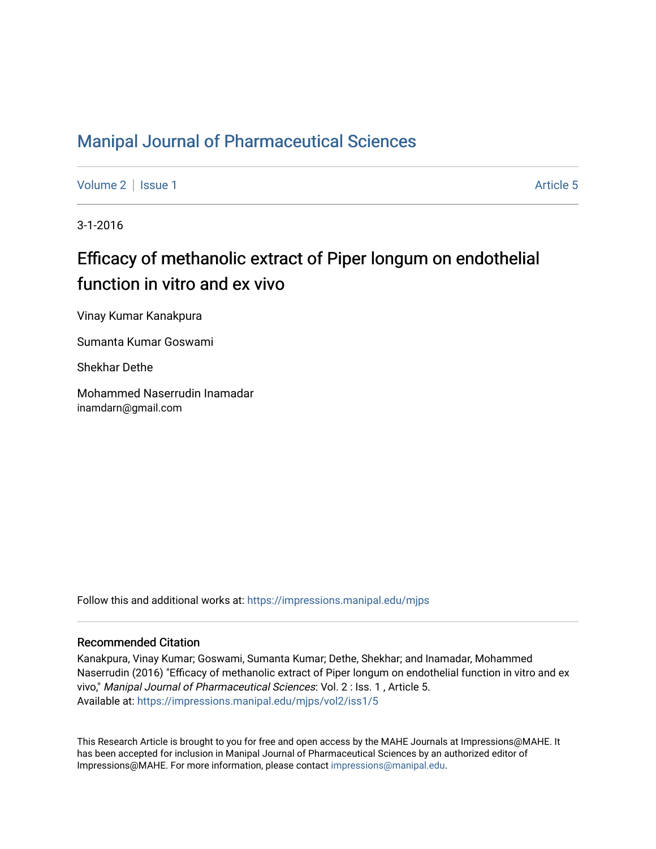# [Manipal Journal of Pharmaceutical Sciences](https://impressions.manipal.edu/mjps)

[Volume 2](https://impressions.manipal.edu/mjps/vol2) | [Issue 1](https://impressions.manipal.edu/mjps/vol2/iss1) Article 5

3-1-2016

# Efficacy of methanolic extract of Piper longum on endothelial function in vitro and ex vivo

Vinay Kumar Kanakpura

Sumanta Kumar Goswami

Shekhar Dethe

Mohammed Naserrudin Inamadar inamdarn@gmail.com

Follow this and additional works at: [https://impressions.manipal.edu/mjps](https://impressions.manipal.edu/mjps?utm_source=impressions.manipal.edu%2Fmjps%2Fvol2%2Fiss1%2F5&utm_medium=PDF&utm_campaign=PDFCoverPages)

#### Recommended Citation

Kanakpura, Vinay Kumar; Goswami, Sumanta Kumar; Dethe, Shekhar; and Inamadar, Mohammed Naserrudin (2016) "Efficacy of methanolic extract of Piper longum on endothelial function in vitro and ex vivo," Manipal Journal of Pharmaceutical Sciences: Vol. 2 : Iss. 1 , Article 5. Available at: [https://impressions.manipal.edu/mjps/vol2/iss1/5](https://impressions.manipal.edu/mjps/vol2/iss1/5?utm_source=impressions.manipal.edu%2Fmjps%2Fvol2%2Fiss1%2F5&utm_medium=PDF&utm_campaign=PDFCoverPages)

This Research Article is brought to you for free and open access by the MAHE Journals at Impressions@MAHE. It has been accepted for inclusion in Manipal Journal of Pharmaceutical Sciences by an authorized editor of Impressions@MAHE. For more information, please contact [impressions@manipal.edu](mailto:impressions@manipal.edu).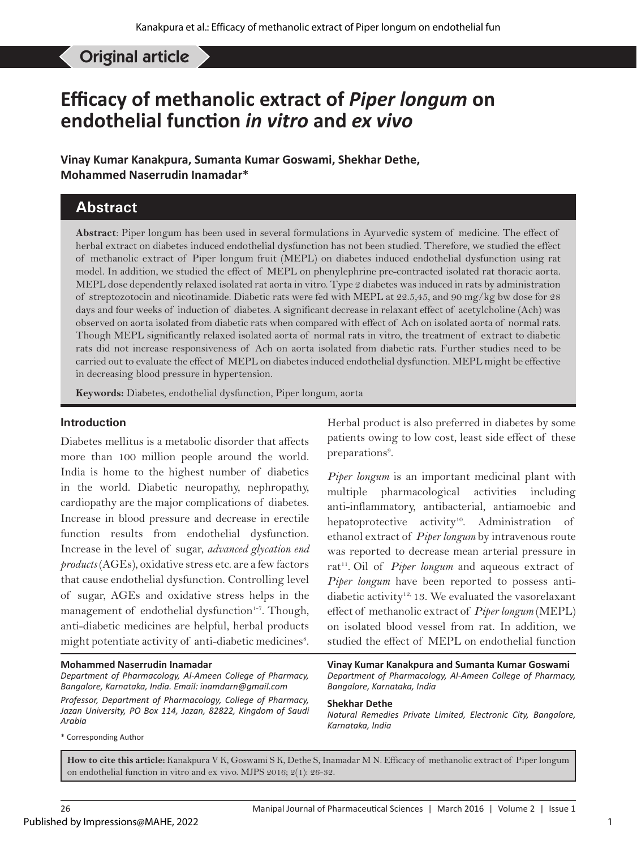Inamadar MN, *et al*: Efficacy of methanolic extract of Piper longum on endothelial function in vitro and ex vivo Original article

# **Efficacy of methanolic extract of** *Piper longum* **on endothelial function** *in vitro* **and** *ex vivo*

**Vinay Kumar Kanakpura, Sumanta Kumar Goswami, Shekhar Dethe, Mohammed Naserrudin Inamadar\***

#### **Abstract**

**Abstract**: Piper longum has been used in several formulations in Ayurvedic system of medicine. The effect of herbal extract on diabetes induced endothelial dysfunction has not been studied. Therefore, we studied the effect of methanolic extract of Piper longum fruit (MEPL) on diabetes induced endothelial dysfunction using rat model. In addition, we studied the effect of MEPL on phenylephrine pre-contracted isolated rat thoracic aorta. MEPL dose dependently relaxed isolated rat aorta in vitro. Type 2 diabetes was induced in rats by administration of streptozotocin and nicotinamide. Diabetic rats were fed with MEPL at 22.5,45, and 90 mg/kg bw dose for 28 days and four weeks of induction of diabetes. A significant decrease in relaxant effect of acetylcholine (Ach) was observed on aorta isolated from diabetic rats when compared with effect of Ach on isolated aorta of normal rats. Though MEPL significantly relaxed isolated aorta of normal rats in vitro, the treatment of extract to diabetic rats did not increase responsiveness of Ach on aorta isolated from diabetic rats. Further studies need to be carried out to evaluate the effect of MEPL on diabetes induced endothelial dysfunction. MEPL might be effective in decreasing blood pressure in hypertension.

**Keywords:** Diabetes, endothelial dysfunction, Piper longum, aorta

#### **Introduction**

Diabetes mellitus is a metabolic disorder that affects more than 100 million people around the world. India is home to the highest number of diabetics in the world. Diabetic neuropathy, nephropathy, cardiopathy are the major complications of diabetes. Increase in blood pressure and decrease in erectile function results from endothelial dysfunction. Increase in the level of sugar, *advanced glycation end products* (AGEs), oxidative stress etc. are a few factors that cause endothelial dysfunction. Controlling level of sugar, AGEs and oxidative stress helps in the management of endothelial dysfunction<sup>1-7</sup>. Though, anti-diabetic medicines are helpful, herbal products might potentiate activity of anti-diabetic medicines<sup>8</sup>.

#### **Mohammed Naserrudin Inamadar**

*Department of Pharmacology, Al-Ameen College of Pharmacy, Bangalore, Karnataka, India. Email: inamdarn@gmail.com Professor, Department of Pharmacology, College of Pharmacy, Jazan University, PO Box 114, Jazan, 82822, Kingdom of Saudi Arabia*

\* Corresponding Author

Herbal product is also preferred in diabetes by some patients owing to low cost, least side effect of these preparations<sup>9</sup>.

*Piper longum* is an important medicinal plant with multiple pharmacological activities including anti-inflammatory, antibacterial, antiamoebic and hepatoprotective activity<sup>10</sup>. Administration of ethanol extract of *Piper longum* by intravenous route was reported to decrease mean arterial pressure in rat<sup>11</sup>. Oil of *Piper longum* and aqueous extract of *Piper longum* have been reported to possess antidiabetic activity<sup>12,</sup> 13. We evaluated the vasorelaxant effect of methanolic extract of *Piper longum* (MEPL) on isolated blood vessel from rat. In addition, we studied the effect of MEPL on endothelial function

**Vinay Kumar Kanakpura and Sumanta Kumar Goswami** *Department of Pharmacology, Al-Ameen College of Pharmacy, Bangalore, Karnataka, India*

#### **Shekhar Dethe**

*Natural Remedies Private Limited, Electronic City, Bangalore, Karnataka, India*

**How to cite this article:** Kanakpura V K, Goswami S K, Dethe S, Inamadar M N. Efficacy of methanolic extract of Piper longum on endothelial function in vitro and ex vivo. MJPS 2016; 2(1): 26-32.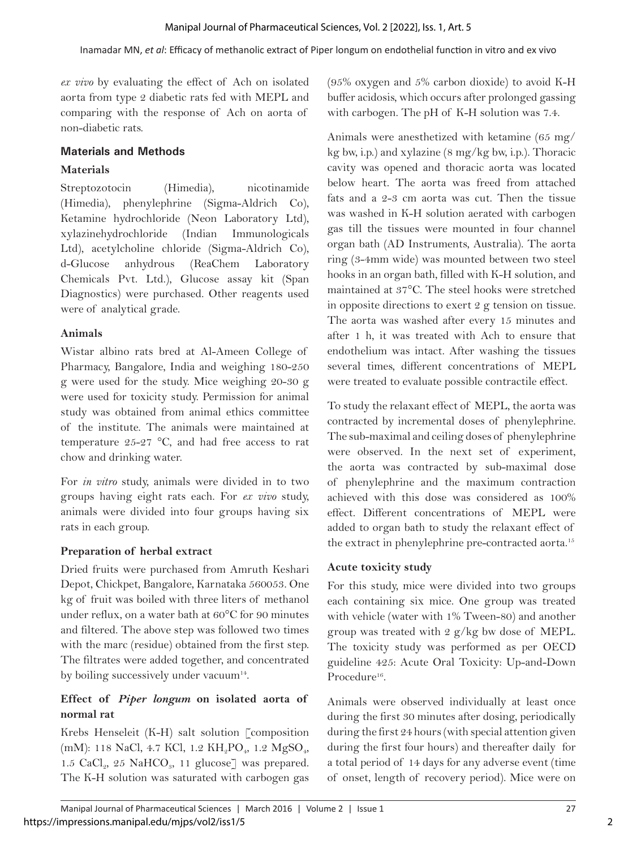*ex vivo* by evaluating the effect of Ach on isolated aorta from type 2 diabetic rats fed with MEPL and comparing with the response of Ach on aorta of non-diabetic rats.

#### **Materials and Methods**

### **Materials**

Streptozotocin (Himedia), nicotinamide (Himedia), phenylephrine (Sigma-Aldrich Co), Ketamine hydrochloride (Neon Laboratory Ltd), xylazinehydrochloride (Indian Immunologicals Ltd), acetylcholine chloride (Sigma-Aldrich Co), d-Glucose anhydrous (ReaChem Laboratory Chemicals Pvt. Ltd.), Glucose assay kit (Span Diagnostics) were purchased. Other reagents used were of analytical grade.

# **Animals**

Wistar albino rats bred at Al-Ameen College of Pharmacy, Bangalore, India and weighing 180-250 g were used for the study. Mice weighing 20-30 g were used for toxicity study. Permission for animal study was obtained from animal ethics committee of the institute. The animals were maintained at temperature  $25-27$  °C, and had free access to rat chow and drinking water.

For *in vitro* study, animals were divided in to two groups having eight rats each. For *ex vivo* study, animals were divided into four groups having six rats in each group.

# **Preparation of herbal extract**

Dried fruits were purchased from Amruth Keshari Depot, Chickpet, Bangalore, Karnataka 560053. One kg of fruit was boiled with three liters of methanol under reflux, on a water bath at 60°C for 90 minutes and filtered. The above step was followed two times with the marc (residue) obtained from the first step. The filtrates were added together, and concentrated by boiling successively under vacuum<sup>14</sup>.

# **Effect of** *Piper longum* **on isolated aorta of normal rat**

Krebs Henseleit (K-H) salt solution [composition (mM): 118 NaCl, 4.7 KCl, 1.2 KH<sub>2</sub>PO<sub>4</sub>, 1.2 MgSO<sub>4</sub>, 1.5  $CaCl<sub>2</sub>$ , 25 NaHCO<sub>3</sub>, 11 glucose] was prepared. The K-H solution was saturated with carbogen gas (95% oxygen and 5% carbon dioxide) to avoid K-H buffer acidosis, which occurs after prolonged gassing with carbogen. The pH of K-H solution was 7.4.

Animals were anesthetized with ketamine (65 mg/ kg bw, i.p.) and xylazine (8 mg/kg bw, i.p.). Thoracic cavity was opened and thoracic aorta was located below heart. The aorta was freed from attached fats and a 2-3 cm aorta was cut. Then the tissue was washed in K-H solution aerated with carbogen gas till the tissues were mounted in four channel organ bath (AD Instruments, Australia). The aorta ring (3-4mm wide) was mounted between two steel hooks in an organ bath, filled with K-H solution, and maintained at 37°C. The steel hooks were stretched in opposite directions to exert 2 g tension on tissue. The aorta was washed after every 15 minutes and after 1 h, it was treated with Ach to ensure that endothelium was intact. After washing the tissues several times, different concentrations of MEPL were treated to evaluate possible contractile effect.

To study the relaxant effect of MEPL, the aorta was contracted by incremental doses of phenylephrine. The sub-maximal and ceiling doses of phenylephrine were observed. In the next set of experiment, the aorta was contracted by sub-maximal dose of phenylephrine and the maximum contraction achieved with this dose was considered as 100% effect. Different concentrations of MEPL were added to organ bath to study the relaxant effect of the extract in phenylephrine pre-contracted aorta.<sup>15</sup>

# **Acute toxicity study**

For this study, mice were divided into two groups each containing six mice. One group was treated with vehicle (water with 1% Tween-80) and another group was treated with 2 g/kg bw dose of MEPL. The toxicity study was performed as per OECD guideline 425: Acute Oral Toxicity: Up-and-Down Procedure<sup>16</sup>

Animals were observed individually at least once during the first 30 minutes after dosing, periodically during the first 24 hours (with special attention given during the first four hours) and thereafter daily for a total period of 14 days for any adverse event (time of onset, length of recovery period). Mice were on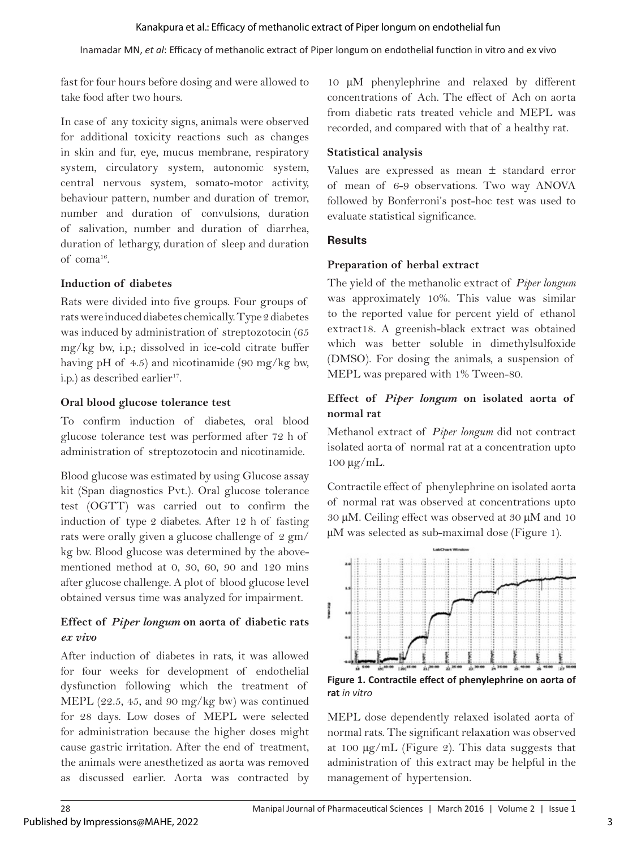Inamadar MN, *et al*: Efficacy of methanolic extract of Piper longum on endothelial function in vitro and ex vivo

fast for four hours before dosing and were allowed to take food after two hours.

In case of any toxicity signs, animals were observed for additional toxicity reactions such as changes in skin and fur, eye, mucus membrane, respiratory system, circulatory system, autonomic system, central nervous system, somato-motor activity, behaviour pattern, number and duration of tremor, number and duration of convulsions, duration of salivation, number and duration of diarrhea, duration of lethargy, duration of sleep and duration of coma16.

#### **Induction of diabetes**

Rats were divided into five groups. Four groups of rats were induced diabetes chemically. Type 2 diabetes was induced by administration of streptozotocin (65 mg/kg bw, i.p.; dissolved in ice-cold citrate buffer having pH of 4.5) and nicotinamide (90 mg/kg bw, i.p.) as described earlier<sup>17</sup>.

#### **Oral blood glucose tolerance test**

To confirm induction of diabetes, oral blood glucose tolerance test was performed after 72 h of administration of streptozotocin and nicotinamide.

Blood glucose was estimated by using Glucose assay kit (Span diagnostics Pvt.). Oral glucose tolerance test (OGTT) was carried out to confirm the induction of type 2 diabetes. After 12 h of fasting rats were orally given a glucose challenge of 2 gm/ kg bw. Blood glucose was determined by the abovementioned method at 0, 30, 60, 90 and 120 mins after glucose challenge. A plot of blood glucose level obtained versus time was analyzed for impairment.

### **Effect of** *Piper longum* **on aorta of diabetic rats**  *ex vivo*

After induction of diabetes in rats, it was allowed for four weeks for development of endothelial dysfunction following which the treatment of MEPL (22.5, 45, and 90 mg/kg bw) was continued for 28 days. Low doses of MEPL were selected for administration because the higher doses might cause gastric irritation. After the end of treatment, the animals were anesthetized as aorta was removed as discussed earlier. Aorta was contracted by

10 µM phenylephrine and relaxed by different concentrations of Ach. The effect of Ach on aorta from diabetic rats treated vehicle and MEPL was recorded, and compared with that of a healthy rat.

#### **Statistical analysis**

Values are expressed as mean ± standard error of mean of 6-9 observations. Two way ANOVA followed by Bonferroni's post-hoc test was used to evaluate statistical significance.

#### **Results**

**The County** 

#### **Preparation of herbal extract**

The yield of the methanolic extract of *Piper longum* was approximately 10%. This value was similar to the reported value for percent yield of ethanol extract18. A greenish-black extract was obtained which was better soluble in dimethylsulfoxide (DMSO). For dosing the animals, a suspension of MEPL was prepared with 1% Tween-80.

#### **Effect of** *Piper longum* **on isolated aorta of normal rat**

Methanol extract of *Piper longum* did not contract isolated aorta of normal rat at a concentration upto 100 µg/mL.

Contractile effect of phenylephrine on isolated aorta of normal rat was observed at concentrations upto 30 µM. Ceiling effect was observed at 30 µM and 10 µM was selected as sub-maximal dose (Figure 1).



**Figure 1. Contractile effect of phenylephrine on aorta of rat** *in vitro*

MEPL dose dependently relaxed isolated aorta of normal rats. The significant relaxation was observed at 100 µg/mL (Figure 2). This data suggests that administration of this extract may be helpful in the management of hypertension.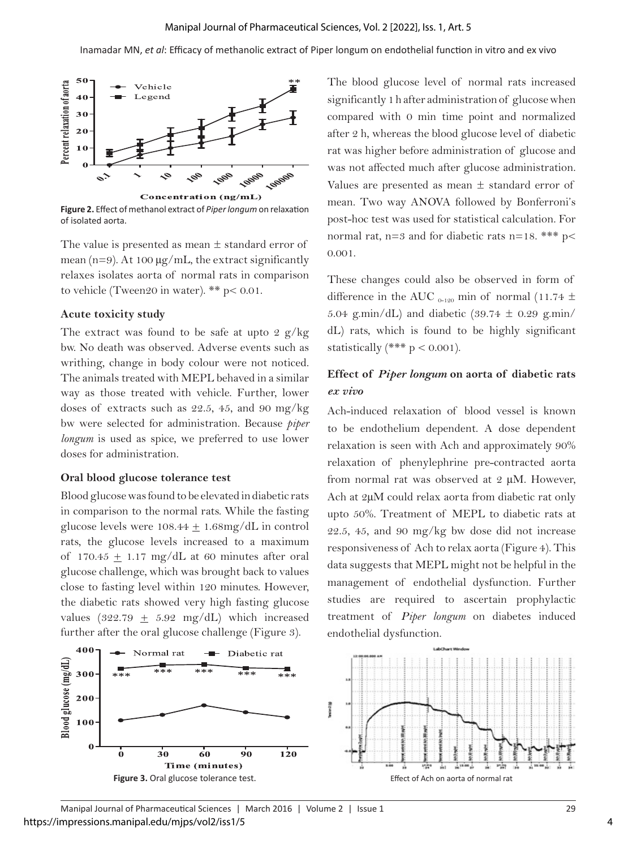

**Figure 2.** Effect of methanol extract of *Piper longum* on relaxation of isolated aorta.

The value is presented as mean  $\pm$  standard error of mean ( $n=9$ ). At 100  $\mu$ g/mL, the extract significantly relaxes isolates aorta of normal rats in comparison to vehicle (Tween20 in water). \*\* p< 0.01.

#### **Acute toxicity study**

The extract was found to be safe at upto 2  $g/kg$ bw. No death was observed. Adverse events such as writhing, change in body colour were not noticed. The animals treated with MEPL behaved in a similar way as those treated with vehicle. Further, lower doses of extracts such as 22.5, 45, and 90 mg/kg bw were selected for administration. Because *piper longum* is used as spice, we preferred to use lower doses for administration.

#### **Oral blood glucose tolerance test**

Blood glucose was found to be elevated in diabetic rats in comparison to the normal rats. While the fasting glucose levels were  $108.44 \pm 1.68$ mg/dL in control rats, the glucose levels increased to a maximum of 170.45  $\pm$  1.17 mg/dL at 60 minutes after oral glucose challenge, which was brought back to values close to fasting level within 120 minutes. However, the diabetic rats showed very high fasting glucose values (322.79  $\pm$  5.92 mg/dL) which increased further after the oral glucose challenge (Figure 3).

The blood glucose level of normal rats increased significantly 1 h after administration of glucose when compared with 0 min time point and normalized after 2 h, whereas the blood glucose level of diabetic rat was higher before administration of glucose and was not affected much after glucose administration. Values are presented as mean ± standard error of mean. Two way ANOVA followed by Bonferroni's post-hoc test was used for statistical calculation. For normal rat,  $n=3$  and for diabetic rats  $n=18$ . \*\*\*  $p<$ 0.001.

These changes could also be observed in form of difference in the AUC  $_{0-120}$  min of normal (11.74  $\pm$ 5.04 g.min/dL) and diabetic  $(39.74 \pm 0.29 \text{ g.min/}$ dL) rats, which is found to be highly significant statistically  $(*** p < 0.001)$ .

#### **Effect of** *Piper longum* **on aorta of diabetic rats**  *ex vivo*

Ach-induced relaxation of blood vessel is known to be endothelium dependent. A dose dependent relaxation is seen with Ach and approximately 90% relaxation of phenylephrine pre-contracted aorta from normal rat was observed at 2 µM. However, Ach at 2µM could relax aorta from diabetic rat only upto 50%. Treatment of MEPL to diabetic rats at 22.5, 45, and 90 mg/kg bw dose did not increase responsiveness of Ach to relax aorta (Figure 4). This data suggests that MEPL might not be helpful in the management of endothelial dysfunction. Further studies are required to ascertain prophylactic treatment of *Piper longum* on diabetes induced endothelial dysfunction.

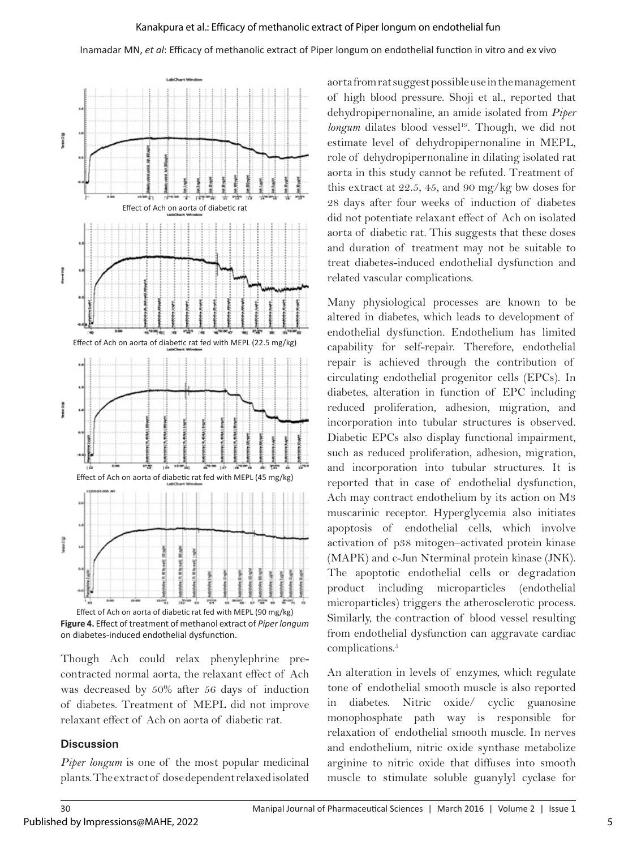Inamadar MN, *et al*: Efficacy of methanolic extract of Piper longum on endothelial function in vitro and ex vivo



**Figure 4.** Effect of treatment of methanol extract of *Piper longum* on diabetes-induced endothelial dysfunction.

Though Ach could relax phenylephrine precontracted normal aorta, the relaxant effect of Ach was decreased by 50% after 56 days of induction of diabetes. Treatment of MEPL did not improve relaxant effect of Ach on aorta of diabetic rat.

#### **Discussion**

*Piper longum* is one of the most popular medicinal plants. The extract of dose dependent relaxed isolated aorta from rat suggest possible use in the management of high blood pressure. Shoji et al., reported that dehydropipernonaline, an amide isolated from *Piper longum* dilates blood vessel<sup>19</sup>. Though, we did not estimate level of dehydropipernonaline in MEPL, role of dehydropipernonaline in dilating isolated rat aorta in this study cannot be refuted. Treatment of this extract at 22.5, 45, and 90 mg/kg bw doses for 28 days after four weeks of induction of diabetes did not potentiate relaxant effect of Ach on isolated aorta of diabetic rat. This suggests that these doses and duration of treatment may not be suitable to treat diabetes-induced endothelial dysfunction and related vascular complications.

Many physiological processes are known to be altered in diabetes, which leads to development of endothelial dysfunction. Endothelium has limited capability for self-repair. Therefore, endothelial repair is achieved through the contribution of circulating endothelial progenitor cells (EPCs). In diabetes, alteration in function of EPC including reduced proliferation, adhesion, migration, and incorporation into tubular structures is observed. Diabetic EPCs also display functional impairment, such as reduced proliferation, adhesion, migration, and incorporation into tubular structures. It is reported that in case of endothelial dysfunction, Ach may contract endothelium by its action on M3 muscarinic receptor. Hyperglycemia also initiates apoptosis of endothelial cells, which involve activation of p38 mitogen–activated protein kinase (MAPK) and c-Jun Nterminal protein kinase (JNK). The apoptotic endothelial cells or degradation product including microparticles (endothelial microparticles) triggers the atherosclerotic process. Similarly, the contraction of blood vessel resulting from endothelial dysfunction can aggravate cardiac complications.<sup>5</sup>

An alteration in levels of enzymes, which regulate tone of endothelial smooth muscle is also reported in diabetes. Nitric oxide/ cyclic guanosine monophosphate path way is responsible for relaxation of endothelial smooth muscle. In nerves and endothelium, nitric oxide synthase metabolize arginine to nitric oxide that diffuses into smooth muscle to stimulate soluble guanylyl cyclase for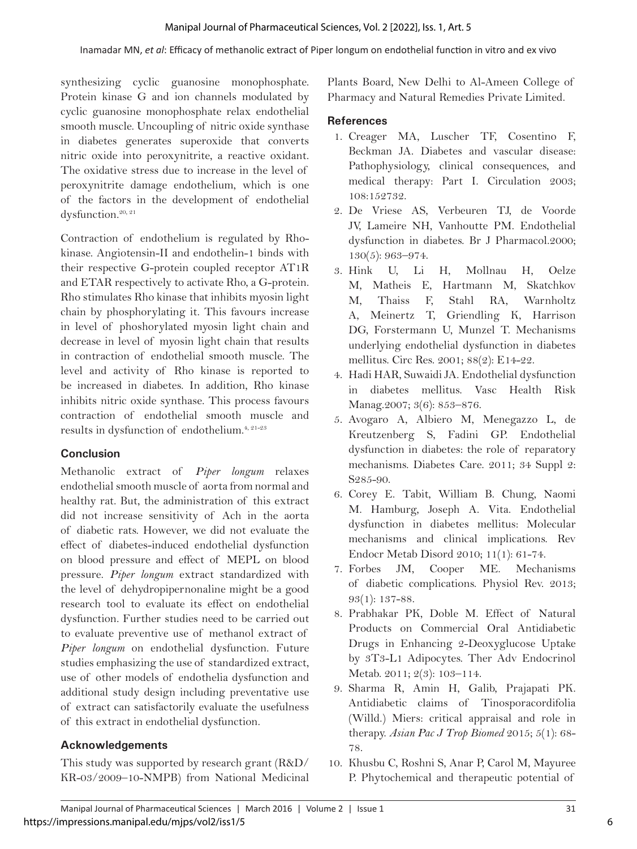synthesizing cyclic guanosine monophosphate. Protein kinase G and ion channels modulated by cyclic guanosine monophosphate relax endothelial smooth muscle. Uncoupling of nitric oxide synthase in diabetes generates superoxide that converts nitric oxide into peroxynitrite, a reactive oxidant. The oxidative stress due to increase in the level of peroxynitrite damage endothelium, which is one of the factors in the development of endothelial dysfunction.<sup>20, 21</sup>

Contraction of endothelium is regulated by Rhokinase. Angiotensin-II and endothelin-1 binds with their respective G-protein coupled receptor AT1R and ETAR respectively to activate Rho, a G-protein. Rho stimulates Rho kinase that inhibits myosin light chain by phosphorylating it. This favours increase in level of phoshorylated myosin light chain and decrease in level of myosin light chain that results in contraction of endothelial smooth muscle. The level and activity of Rho kinase is reported to be increased in diabetes. In addition, Rho kinase inhibits nitric oxide synthase. This process favours contraction of endothelial smooth muscle and results in dysfunction of endothelium.<sup>4, 21-23</sup>

#### **Conclusion**

Methanolic extract of *Piper longum* relaxes endothelial smooth muscle of aorta from normal and healthy rat. But, the administration of this extract did not increase sensitivity of Ach in the aorta of diabetic rats. However, we did not evaluate the effect of diabetes-induced endothelial dysfunction on blood pressure and effect of MEPL on blood pressure. *Piper longum* extract standardized with the level of dehydropipernonaline might be a good research tool to evaluate its effect on endothelial dysfunction. Further studies need to be carried out to evaluate preventive use of methanol extract of *Piper longum* on endothelial dysfunction. Future studies emphasizing the use of standardized extract, use of other models of endothelia dysfunction and additional study design including preventative use of extract can satisfactorily evaluate the usefulness of this extract in endothelial dysfunction.

# **Acknowledgements**

This study was supported by research grant (R&D/ KR-03/2009–10-NMPB) from National Medicinal Plants Board, New Delhi to Al-Ameen College of Pharmacy and Natural Remedies Private Limited.

#### **References**

- 1. Creager MA, Luscher TF, Cosentino F, Beckman JA. Diabetes and vascular disease: Pathophysiology, clinical consequences, and medical therapy: Part I. Circulation 2003; 108:152732.
- 2. De Vriese AS, Verbeuren TJ, de Voorde JV, Lameire NH, Vanhoutte PM. Endothelial dysfunction in diabetes. Br J Pharmacol.2000; 130(5): 963–974.
- 3. Hink U, Li H, Mollnau H, Oelze M, Matheis E, Hartmann M, Skatchkov M, Thaiss F, Stahl RA, Warnholtz A, Meinertz T, Griendling K, Harrison DG, Forstermann U, Munzel T. Mechanisms underlying endothelial dysfunction in diabetes mellitus. Circ Res. 2001; 88(2): E14-22.
- 4. Hadi HAR, Suwaidi JA. Endothelial dysfunction in diabetes mellitus. Vasc Health Risk Manag.2007; 3(6): 853–876.
- 5. Avogaro A, Albiero M, Menegazzo L, de Kreutzenberg S, Fadini GP. Endothelial dysfunction in diabetes: the role of reparatory mechanisms. Diabetes Care. 2011; 34 Suppl 2: S285-90.
- 6. Corey E. Tabit, William B. Chung, Naomi M. Hamburg, Joseph A. Vita. Endothelial dysfunction in diabetes mellitus: Molecular mechanisms and clinical implications. Rev Endocr Metab Disord 2010; 11(1): 61-74.
- 7. Forbes JM, Cooper ME. Mechanisms of diabetic complications. Physiol Rev. 2013; 93(1): 137-88.
- 8. Prabhakar PK, Doble M. Effect of Natural Products on Commercial Oral Antidiabetic Drugs in Enhancing 2-Deoxyglucose Uptake by 3T3-L1 Adipocytes. Ther Adv Endocrinol Metab. 2011; 2(3): 103–114.
- 9. Sharma R, Amin H, Galib, Prajapati PK. Antidiabetic claims of Tinosporacordifolia (Willd.) Miers: critical appraisal and role in therapy. *Asian Pac J Trop Biomed* 2015; 5(1): 68- 78.
- 10. Khusbu C, Roshni S, Anar P, Carol M, Mayuree P. Phytochemical and therapeutic potential of

6